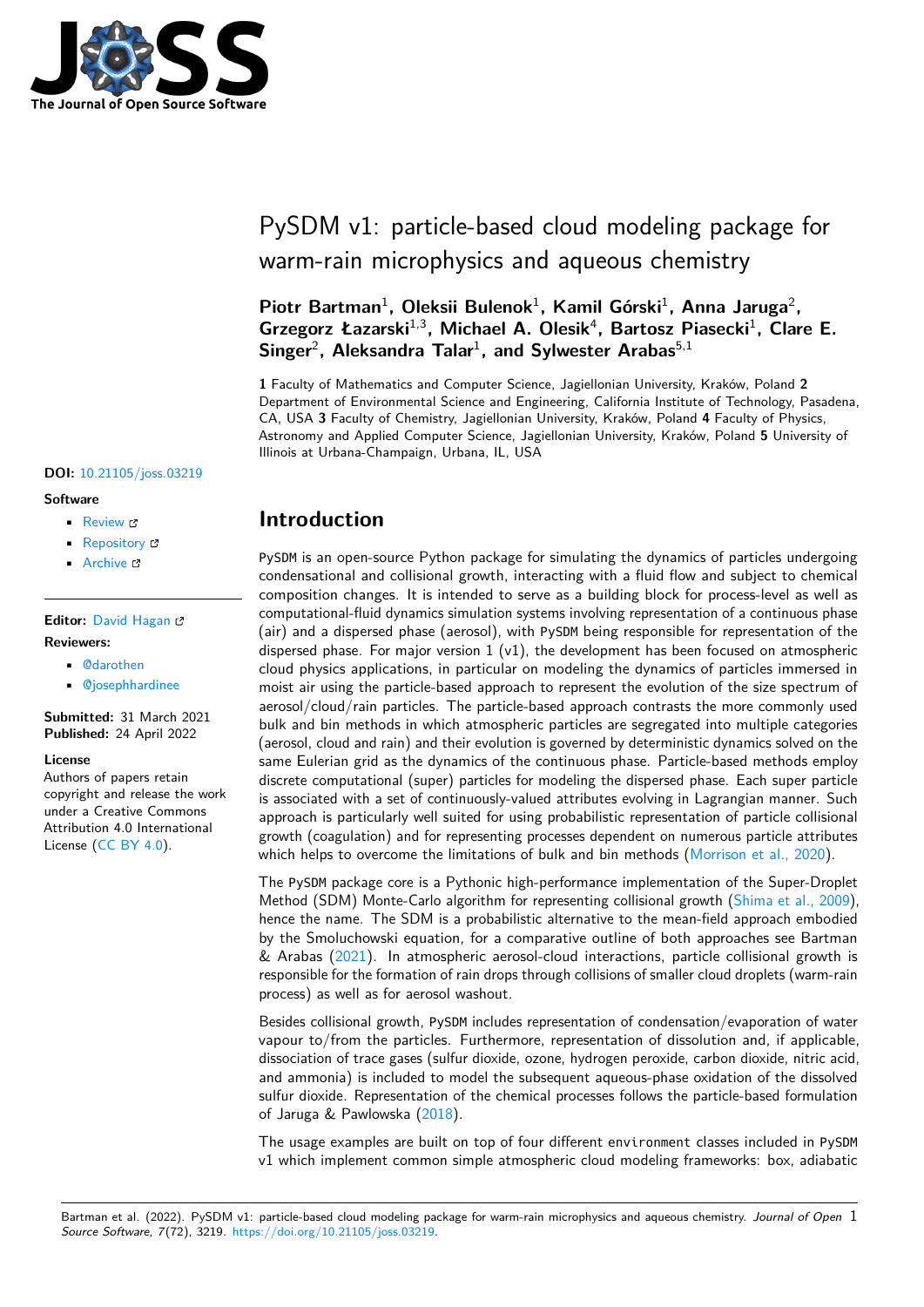

# PySDM v1: particle-based cloud modeling package for warm-rain microphysics and aqueous chemistry

Piotr Bartman<sup>1</sup>, Oleksii Bulenok<sup>1</sup>, Kamil Górski<sup>1</sup>, Anna Jaruga<sup>2</sup>, Grzegorz Łazarski<sup>1,3</sup>, Michael A. Olesik<sup>4</sup>, Bartosz Piasecki<sup>1</sup>, Clare E. Singer<sup>2</sup>, Aleksandra Talar<sup>1</sup>, and Sylwester Arabas<sup>5,1</sup>

**1** Faculty of Mathematics and Computer Science, Jagiellonian University, Kraków, Poland **2** Department of Environmental Science and Engineering, California Institute of Technology, Pasadena, CA, USA **3** Faculty of Chemistry, Jagiellonian University, Kraków, Poland **4** Faculty of Physics, Astronomy and Applied Computer Science, Jagiellonian University, Kraków, Poland **5** University of Illinois at Urbana-Champaign, Urbana, IL, USA

### **DOI:** [10.21105/joss.03219](https://doi.org/10.21105/joss.03219)

#### **Software**

- [Review](https://github.com/openjournals/joss-reviews/issues/3219) C
- [Repository](https://github.com/atmos-cloud-sim-uj/PySDM.git) C
- [Archive](https://doi.org/10.5281/zenodo.6321270) C

### **Editor:** [David Hagan](https://www.quant-aq.com/meet-the-team) **Reviewers:**

- [@darothen](https://github.com/darothen)
- [@josephhardinee](https://github.com/josephhardinee)

### **Submitted:** 31 March 2021 **Published:** 24 April 2022

#### **License**

Authors of papers retain copyright and release the work under a Creative Commons Attribution 4.0 International License [\(CC BY 4.0\)](https://creativecommons.org/licenses/by/4.0/).

# **Introduction**

PySDM is an open-source Python package for simulating the dynamics of particles undergoing condensational and collisional growth, interacting with a fluid flow and subject to chemical composition changes. It is intended to serve as a building block for process-level as well as computational-fluid dynamics simulation systems involving representation of a continuous phase (air) and a dispersed phase (aerosol), with PySDM being responsible for representation of the dispersed phase. For major version  $1 (v1)$ , the development has been focused on atmospheric cloud physics applications, in particular on modeling the dynamics of particles immersed in moist air using the particle-based approach to represent the evolution of the size spectrum of aerosol/cloud/rain particles. The particle-based approach contrasts the more commonly used bulk and bin methods in which atmospheric particles are segregated into multiple categories (aerosol, cloud and rain) and their evolution is governed by deterministic dynamics solved on the same Eulerian grid as the dynamics of the continuous phase. Particle-based methods employ discrete computational (super) particles for modeling the dispersed phase. Each super particle is associated with a set of continuously-valued attributes evolving in Lagrangian manner. Such approach is particularly well suited for using probabilistic representation of particle collisional growth (coagulation) and for representing processes dependent on numerous particle attributes which helps to overcome the limitations of bulk and bin methods [\(Morrison et al., 2020\)](#page-7-0).

The PySDM package core is a Pythonic high-performance implementation of the Super-Droplet Method (SDM) Monte-Carlo algorithm for representing collisional growth [\(Shima et al., 2009\)](#page-7-1), hence the name. The SDM is a probabilistic alternative to the mean-field approach embodied by the Smoluchowski equation, for a comparative outline of both approaches see Bartman & Arabas [\(2021\)](#page-6-0). In atmospheric aerosol-cloud interactions, particle collisional growth is responsible for the formation of rain drops through collisions of smaller cloud droplets (warm-rain process) as well as for aerosol washout.

Besides collisional growth, PySDM includes representation of condensation/evaporation of water vapour to/from the particles. Furthermore, representation of dissolution and, if applicable, dissociation of trace gases (sulfur dioxide, ozone, hydrogen peroxide, carbon dioxide, nitric acid, and ammonia) is included to model the subsequent aqueous-phase oxidation of the dissolved sulfur dioxide. Representation of the chemical processes follows the particle-based formulation of Jaruga & Pawlowska [\(2018\)](#page-6-1).

The usage examples are built on top of four different environment classes included in PySDM v1 which implement common simple atmospheric cloud modeling frameworks: box, adiabatic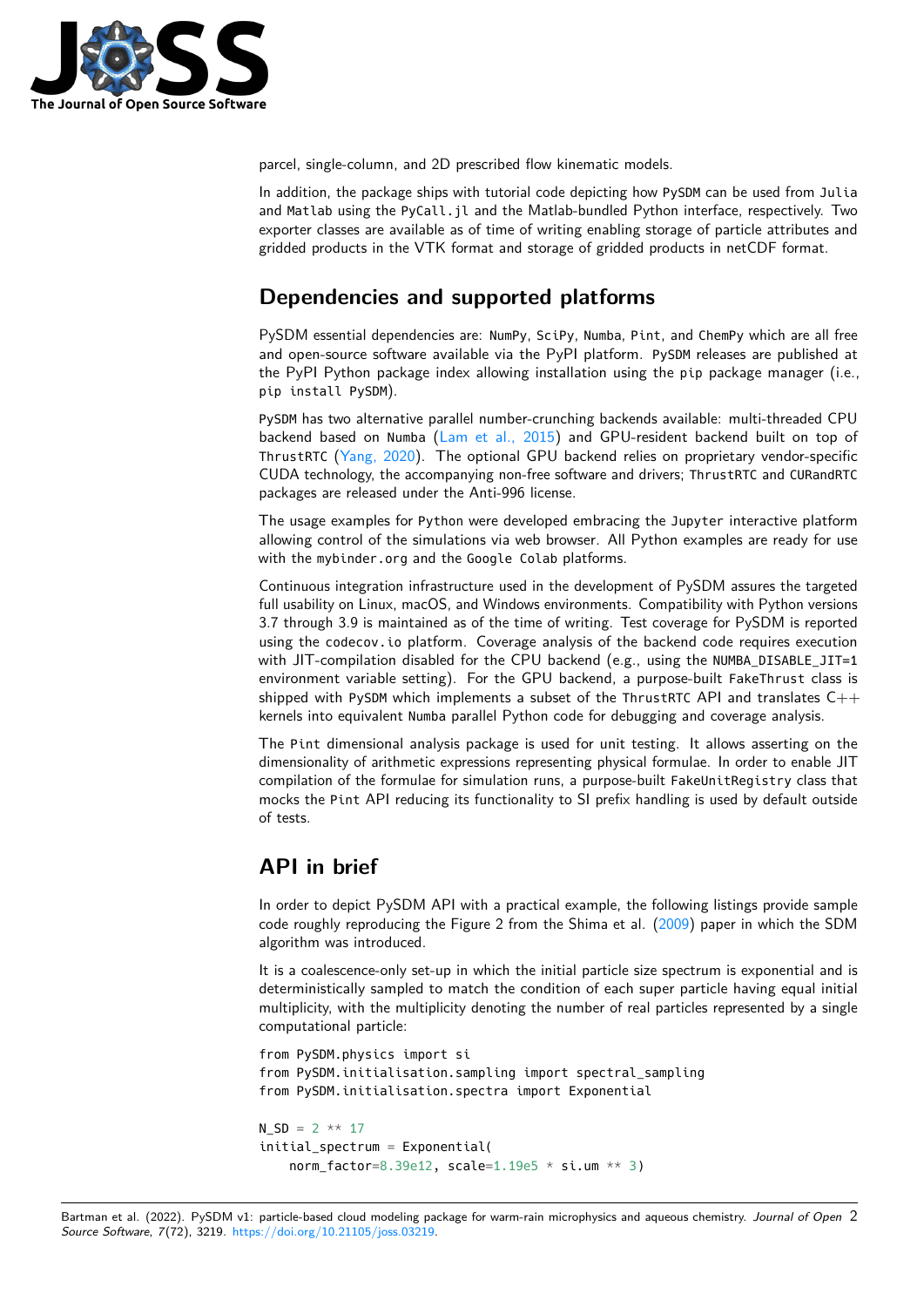

parcel, single-column, and 2D prescribed flow kinematic models.

In addition, the package ships with tutorial code depicting how PySDM can be used from Julia and Matlab using the PyCall.jl and the Matlab-bundled Python interface, respectively. Two exporter classes are available as of time of writing enabling storage of particle attributes and gridded products in the VTK format and storage of gridded products in netCDF format.

# **Dependencies and supported platforms**

PySDM essential dependencies are: NumPy, SciPy, Numba, Pint, and ChemPy which are all free and open-source software available via the PyPI platform. PySDM releases are published at the PyPI Python package index allowing installation using the pip package manager (i.e., pip install PySDM).

PySDM has two alternative parallel number-crunching backends available: multi-threaded CPU backend based on Numba [\(Lam et al., 2015\)](#page-6-2) and GPU-resident backend built on top of ThrustRTC [\(Yang, 2020\)](#page-7-2). The optional GPU backend relies on proprietary vendor-specific CUDA technology, the accompanying non-free software and drivers; ThrustRTC and CURandRTC packages are released under the Anti-996 license.

The usage examples for Python were developed embracing the Jupyter interactive platform allowing control of the simulations via web browser. All Python examples are ready for use with the mybinder.org and the Google Colab platforms.

Continuous integration infrastructure used in the development of PySDM assures the targeted full usability on Linux, macOS, and Windows environments. Compatibility with Python versions 3.7 through 3.9 is maintained as of the time of writing. Test coverage for PySDM is reported using the codecov.io platform. Coverage analysis of the backend code requires execution with JIT-compilation disabled for the CPU backend (e.g., using the NUMBA\_DISABLE\_JIT=1 environment variable setting). For the GPU backend, a purpose-built FakeThrust class is shipped with PySDM which implements a subset of the ThrustRTC API and translates  $C++$ kernels into equivalent Numba parallel Python code for debugging and coverage analysis.

The Pint dimensional analysis package is used for unit testing. It allows asserting on the dimensionality of arithmetic expressions representing physical formulae. In order to enable JIT compilation of the formulae for simulation runs, a purpose-built FakeUnitRegistry class that mocks the Pint API reducing its functionality to SI prefix handling is used by default outside of tests.

### **API in brief**

In order to depict PySDM API with a practical example, the following listings provide sample code roughly reproducing the Figure 2 from the Shima et al. [\(2009\)](#page-7-1) paper in which the SDM algorithm was introduced.

It is a coalescence-only set-up in which the initial particle size spectrum is exponential and is deterministically sampled to match the condition of each super particle having equal initial multiplicity, with the multiplicity denoting the number of real particles represented by a single computational particle:

```
from PySDM.physics import si
from PySDM.initialisation.sampling import spectral_sampling
from PySDM.initialisation.spectra import Exponential
```

```
N SD = 2 * * 17initial_spectrum = Exponential(
    norm factor=8.39e12, scale=1.19e5 * si.um ** 3)
```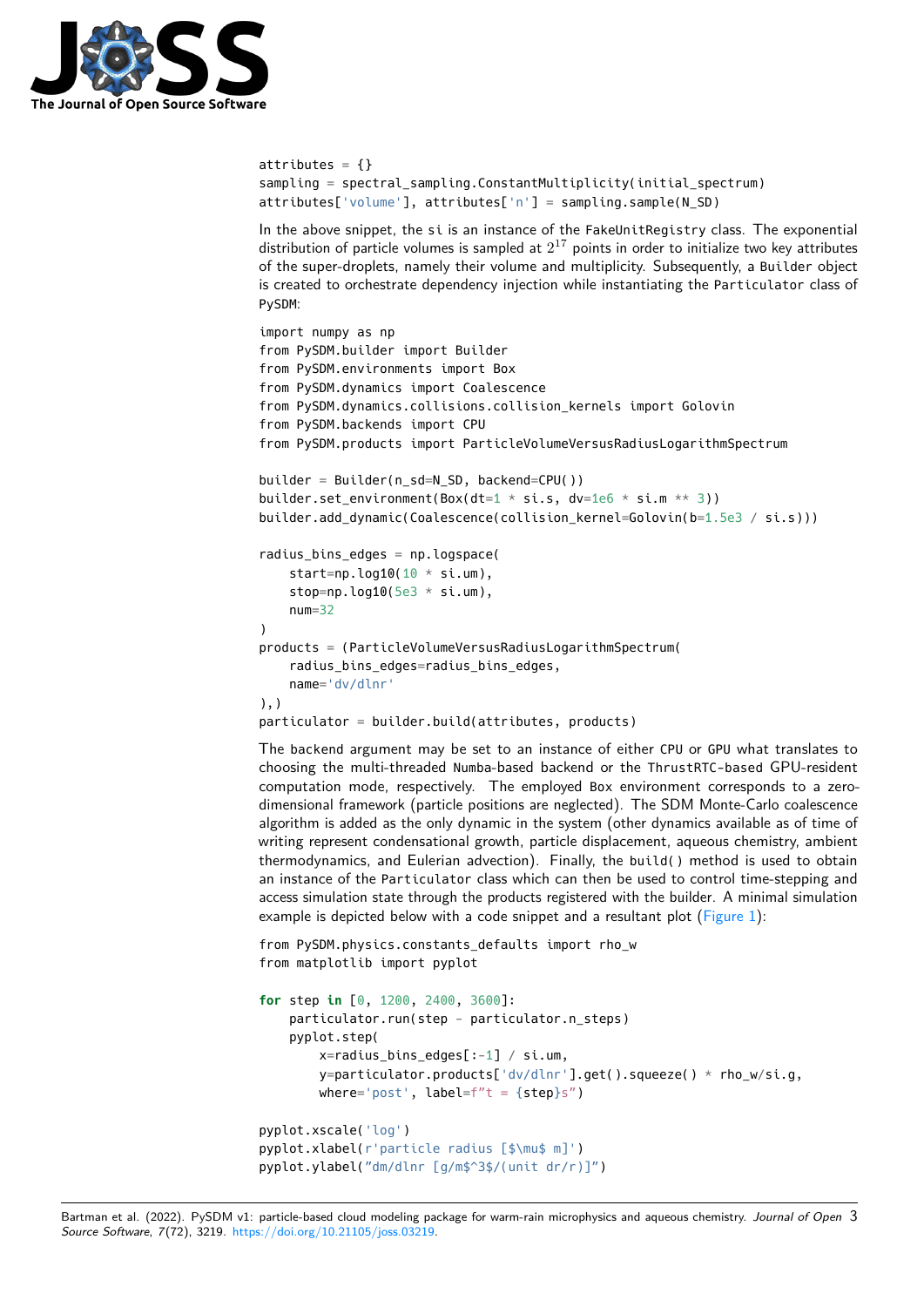

```
attributes = \{\}sampling = spectral_sampling.ConstantMultiplicity(initial_spectrum)
attributes['volume'], attributes['n'] = sampling.sample(N_SD)
```
In the above snippet, the si is an instance of the FakeUnitRegistry class. The exponential distribution of particle volumes is sampled at  $2^{17}$  points in order to initialize two key attributes of the super-droplets, namely their volume and multiplicity. Subsequently, a Builder object is created to orchestrate dependency injection while instantiating the Particulator class of PySDM:

```
import numpy as np
from PySDM.builder import Builder
from PySDM.environments import Box
from PySDM.dynamics import Coalescence
from PySDM.dynamics.collisions.collision_kernels import Golovin
from PySDM.backends import CPU
from PySDM.products import ParticleVolumeVersusRadiusLogarithmSpectrum
builder = Builder(n_sd=N_SD, backend=CPU())
builder.set_environment(Box(dt=1 * si.s, dv=1e6 * si.m ** 3))
builder.add_dynamic(Coalescence(collision_kernel=Golovin(b=1.5e3 / si.s)))
radius_bins_edges = np.logspace(
    start=np.log10(10 * si.um),
    stop=np.log10(5e3 * si.um),
    num = 32\lambdaproducts = (ParticleVolumeVersusRadiusLogarithmSpectrum(
    radius_bins_edges=radius_bins_edges,
    name='dv/dlnr'
),)
particulator = builder.build(attributes, products)
```
The backend argument may be set to an instance of either CPU or GPU what translates to choosing the multi-threaded Numba-based backend or the ThrustRTC-based GPU-resident computation mode, respectively. The employed Box environment corresponds to a zerodimensional framework (particle positions are neglected). The SDM Monte-Carlo coalescence algorithm is added as the only dynamic in the system (other dynamics available as of time of writing represent condensational growth, particle displacement, aqueous chemistry, ambient thermodynamics, and Eulerian advection). Finally, the build() method is used to obtain an instance of the Particulator class which can then be used to control time-stepping and access simulation state through the products registered with the builder. A minimal simulation example is depicted below with a code snippet and a resultant plot ( $Figure 1$ ):

```
from PySDM.physics.constants defaults import rho w
from matplotlib import pyplot
```

```
for step in [0, 1200, 2400, 3600]:
    particulator.run(step - particulator.n_steps)
    pyplot.step(
        x=radius_bins_edges[:-1] / si.um,
        y=particulator.products['dv/dlnr'].get().squeeze() * rho_w/si.g,
        where='post', label=f''t = {step}s'')
pyplot.xscale('log')
pyplot.xlabel(r'particle radius [$\mu$ m]')
pyplot.ylabel("dm/dlnr [g/m$^3$/(unit dr/r)]")
```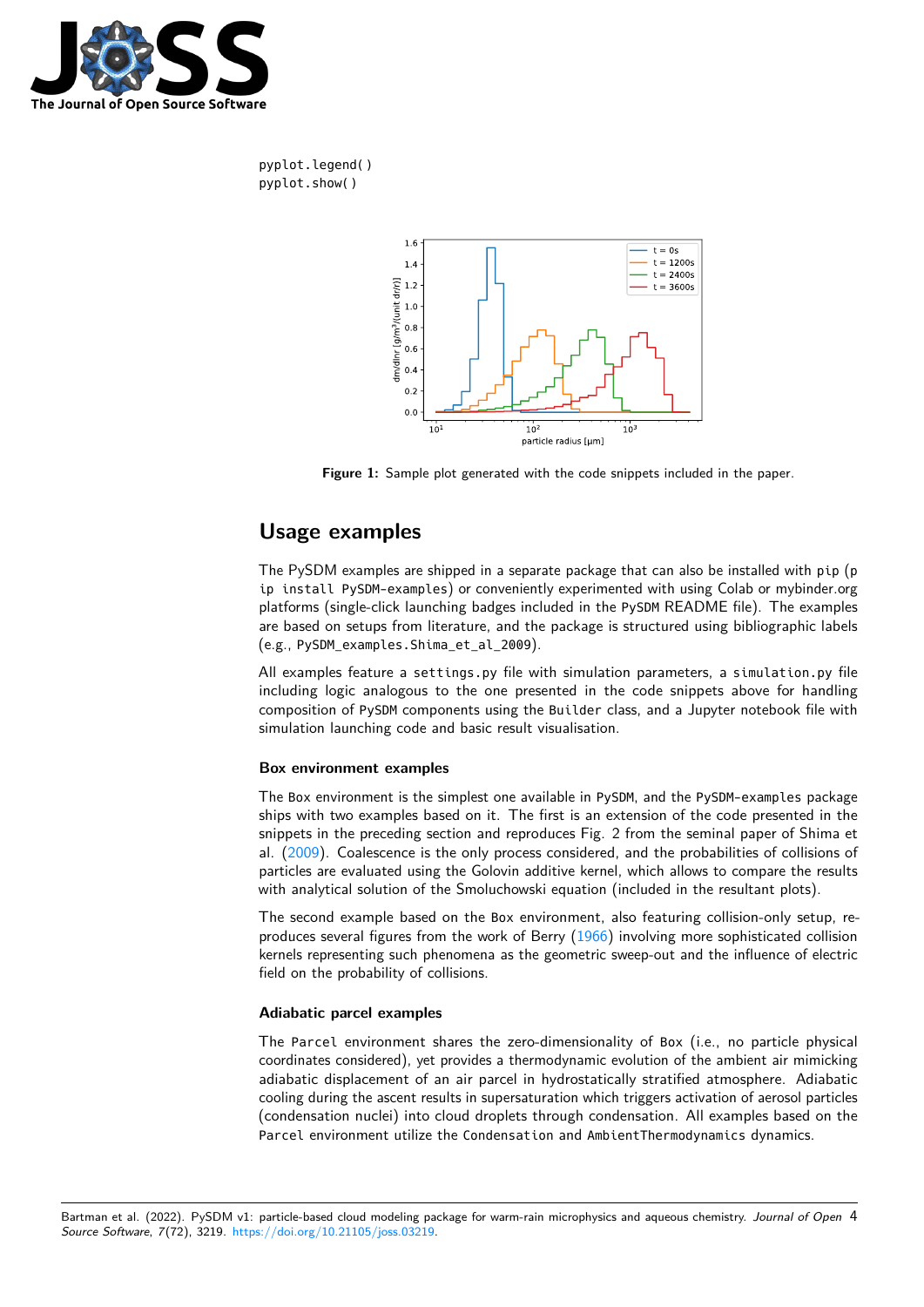

<span id="page-3-0"></span>pyplot.legend() pyplot.show()



**Figure 1:** Sample plot generated with the code snippets included in the paper.

# **Usage examples**

The PySDM examples are shipped in a separate package that can also be installed with pip (p ip install PySDM-examples) or conveniently experimented with using Colab or mybinder.org platforms (single-click launching badges included in the PySDM README file). The examples are based on setups from literature, and the package is structured using bibliographic labels (e.g., PySDM\_examples.Shima\_et\_al\_2009).

All examples feature a settings.py file with simulation parameters, a simulation.py file including logic analogous to the one presented in the code snippets above for handling composition of PySDM components using the Builder class, and a Jupyter notebook file with simulation launching code and basic result visualisation.

### **Box environment examples**

The Box environment is the simplest one available in PySDM, and the PySDM-examples package ships with two examples based on it. The first is an extension of the code presented in the snippets in the preceding section and reproduces Fig. 2 from the seminal paper of Shima et al. [\(2009\)](#page-7-1). Coalescence is the only process considered, and the probabilities of collisions of particles are evaluated using the Golovin additive kernel, which allows to compare the results with analytical solution of the Smoluchowski equation (included in the resultant plots).

The second example based on the Box environment, also featuring collision-only setup, re-produces several figures from the work of Berry [\(1966\)](#page-6-3) involving more sophisticated collision kernels representing such phenomena as the geometric sweep-out and the influence of electric field on the probability of collisions.

### **Adiabatic parcel examples**

The Parcel environment shares the zero-dimensionality of Box (i.e., no particle physical coordinates considered), yet provides a thermodynamic evolution of the ambient air mimicking adiabatic displacement of an air parcel in hydrostatically stratified atmosphere. Adiabatic cooling during the ascent results in supersaturation which triggers activation of aerosol particles (condensation nuclei) into cloud droplets through condensation. All examples based on the Parcel environment utilize the Condensation and AmbientThermodynamics dynamics.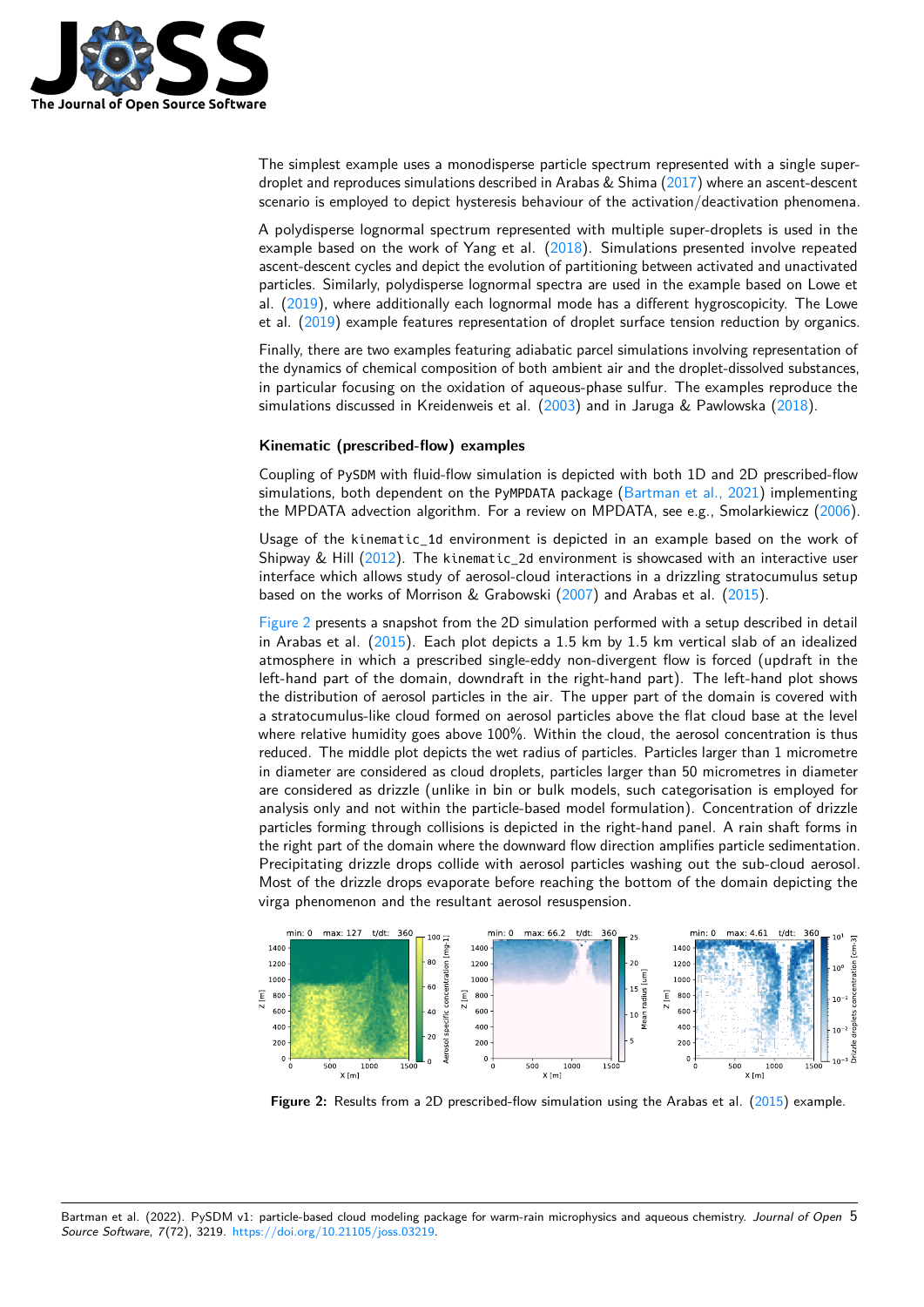

The simplest example uses a monodisperse particle spectrum represented with a single superdroplet and reproduces simulations described in Arabas & Shima [\(2017\)](#page-6-4) where an ascent-descent scenario is employed to depict hysteresis behaviour of the activation/deactivation phenomena.

A polydisperse lognormal spectrum represented with multiple super-droplets is used in the example based on the work of Yang et al.  $(2018)$ . Simulations presented involve repeated ascent-descent cycles and depict the evolution of partitioning between activated and unactivated particles. Similarly, polydisperse lognormal spectra are used in the example based on Lowe et al. [\(2019\)](#page-7-4), where additionally each lognormal mode has a different hygroscopicity. The Lowe et al. [\(2019\)](#page-7-4) example features representation of droplet surface tension reduction by organics.

Finally, there are two examples featuring adiabatic parcel simulations involving representation of the dynamics of chemical composition of both ambient air and the droplet-dissolved substances, in particular focusing on the oxidation of aqueous-phase sulfur. The examples reproduce the simulations discussed in Kreidenweis et al. [\(2003\)](#page-6-5) and in Jaruga & Pawlowska [\(2018\)](#page-6-1).

### **Kinematic (prescribed-flow) examples**

Coupling of PySDM with fluid-flow simulation is depicted with both 1D and 2D prescribed-flow simulations, both dependent on the PyMPDATA package [\(Bartman et al., 2021\)](#page-6-6) implementing the MPDATA advection algorithm. For a review on MPDATA, see e.g., Smolarkiewicz [\(2006\)](#page-7-5).

Usage of the kinematic\_1d environment is depicted in an example based on the work of Shipway & Hill  $(2012)$ . The kinematic\_2d environment is showcased with an interactive user interface which allows study of aerosol-cloud interactions in a drizzling stratocumulus setup based on the works of Morrison & Grabowski [\(2007\)](#page-7-7) and Arabas et al. [\(2015\)](#page-6-7).

[Figure 2](#page-4-0) presents a snapshot from the 2D simulation performed with a setup described in detail in Arabas et al. [\(2015\)](#page-6-7). Each plot depicts a 1.5 km by 1.5 km vertical slab of an idealized atmosphere in which a prescribed single-eddy non-divergent flow is forced (updraft in the left-hand part of the domain, downdraft in the right-hand part). The left-hand plot shows the distribution of aerosol particles in the air. The upper part of the domain is covered with a stratocumulus-like cloud formed on aerosol particles above the flat cloud base at the level where relative humidity goes above 100%. Within the cloud, the aerosol concentration is thus reduced. The middle plot depicts the wet radius of particles. Particles larger than 1 micrometre in diameter are considered as cloud droplets, particles larger than 50 micrometres in diameter are considered as drizzle (unlike in bin or bulk models, such categorisation is employed for analysis only and not within the particle-based model formulation). Concentration of drizzle particles forming through collisions is depicted in the right-hand panel. A rain shaft forms in the right part of the domain where the downward flow direction amplifies particle sedimentation. Precipitating drizzle drops collide with aerosol particles washing out the sub-cloud aerosol. Most of the drizzle drops evaporate before reaching the bottom of the domain depicting the virga phenomenon and the resultant aerosol resuspension.

<span id="page-4-0"></span>

**Figure 2:** Results from a 2D prescribed-flow simulation using the Arabas et al. [\(2015\)](#page-6-7) example.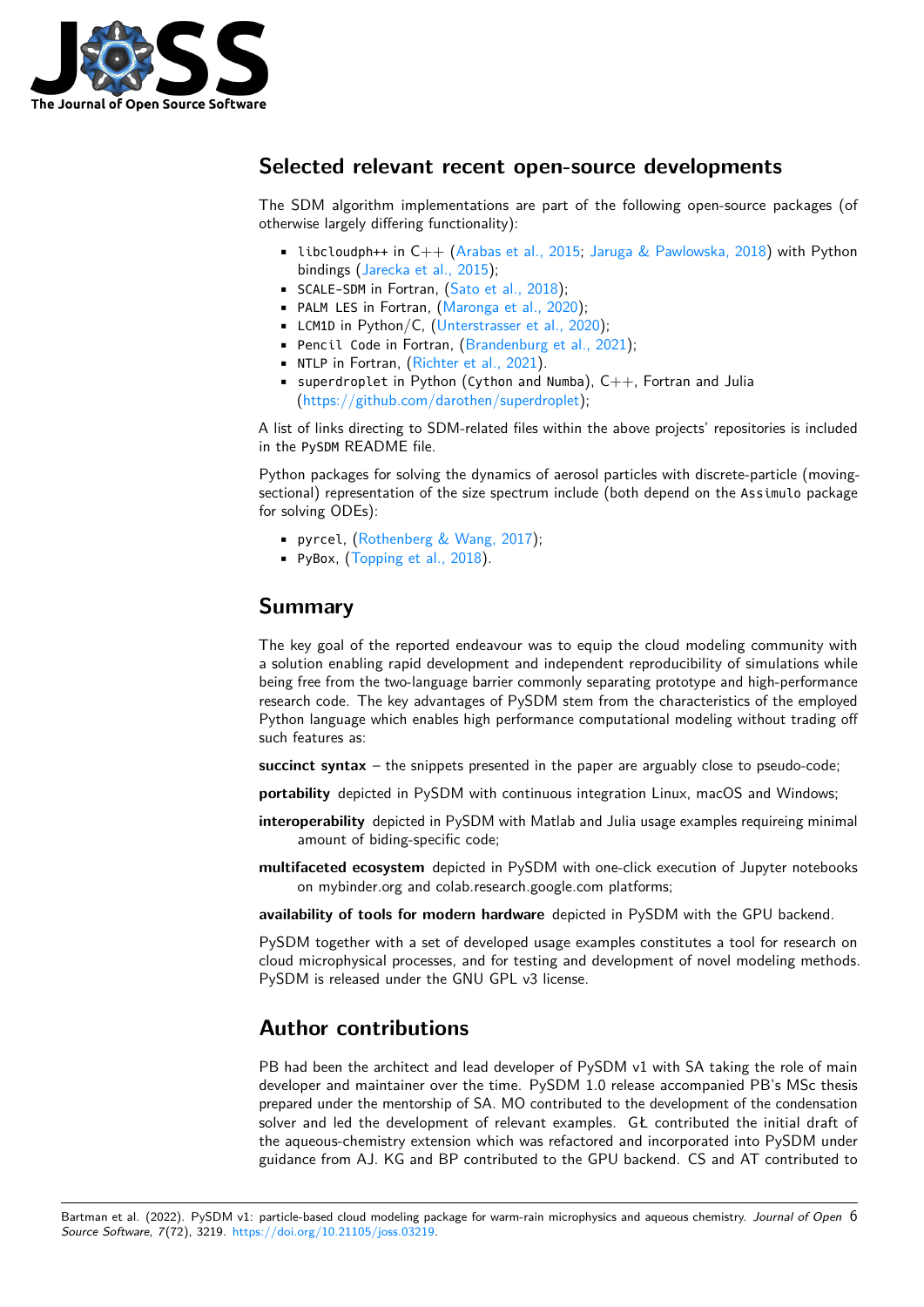

# **Selected relevant recent open-source developments**

The SDM algorithm implementations are part of the following open-source packages (of otherwise largely differing functionality):

- **libcloudph++ in C++ [\(Arabas et al., 2015;](#page-6-7) [Jaruga & Pawlowska, 2018\)](#page-6-1) with Python** bindings [\(Jarecka et al., 2015\)](#page-6-8);
- SCALE-SDM in Fortran, [\(Sato et al., 2018\)](#page-7-8);
- PALM LES in Fortran, [\(Maronga et al., 2020\)](#page-7-9);
- LCM1D in Python/C, [\(Unterstrasser et al., 2020\)](#page-7-10);
- Pencil Code in Fortran, [\(Brandenburg et al., 2021\)](#page-6-9);
- NTLP in Fortran, [\(Richter et al., 2021\)](#page-7-11).
- **•** superdroplet in Python (Cython and Numba),  $C_{++}$ , Fortran and Julia [\(https://github.com/darothen/superdroplet\)](https://github.com/darothen/superdroplet);

A list of links directing to SDM-related files within the above projects' repositories is included in the PySDM README file.

Python packages for solving the dynamics of aerosol particles with discrete-particle (movingsectional) representation of the size spectrum include (both depend on the Assimulo package for solving ODEs):

- pyrcel, [\(Rothenberg & Wang, 2017\)](#page-7-12);
- PyBox, [\(Topping et al., 2018\)](#page-7-13).

# **Summary**

The key goal of the reported endeavour was to equip the cloud modeling community with a solution enabling rapid development and independent reproducibility of simulations while being free from the two-language barrier commonly separating prototype and high-performance research code. The key advantages of PySDM stem from the characteristics of the employed Python language which enables high performance computational modeling without trading off such features as:

**succinct syntax** – the snippets presented in the paper are arguably close to pseudo-code;

**portability** depicted in PvSDM with continuous integration Linux, macOS and Windows;

- **interoperability** depicted in PySDM with Matlab and Julia usage examples requireing minimal amount of biding-specific code;
- **multifaceted ecosystem** depicted in PySDM with one-click execution of Jupyter notebooks on mybinder.org and colab.research.google.com platforms;

**availability of tools for modern hardware** depicted in PySDM with the GPU backend.

PySDM together with a set of developed usage examples constitutes a tool for research on cloud microphysical processes, and for testing and development of novel modeling methods. PySDM is released under the GNU GPL v3 license.

# **Author contributions**

PB had been the architect and lead developer of PySDM v1 with SA taking the role of main developer and maintainer over the time. PySDM 1.0 release accompanied PB's MSc thesis prepared under the mentorship of SA. MO contributed to the development of the condensation solver and led the development of relevant examples. GŁ contributed the initial draft of the aqueous-chemistry extension which was refactored and incorporated into PySDM under guidance from AJ. KG and BP contributed to the GPU backend. CS and AT contributed to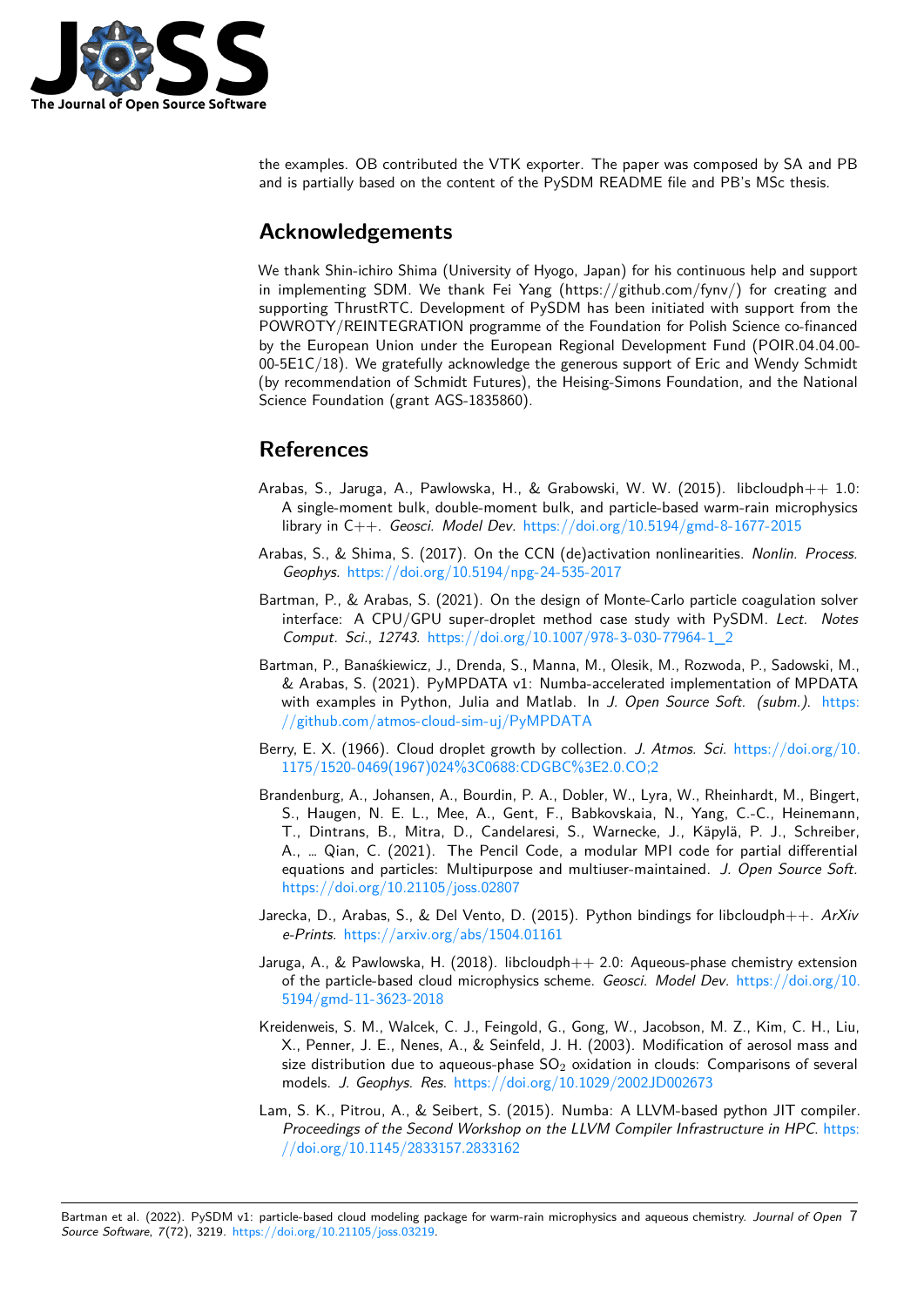

the examples. OB contributed the VTK exporter. The paper was composed by SA and PB and is partially based on the content of the PySDM README file and PB's MSc thesis.

# **Acknowledgements**

We thank Shin-ichiro Shima (University of Hyogo, Japan) for his continuous help and support in implementing SDM. We thank Fei Yang (https://github.com/fynv/) for creating and supporting ThrustRTC. Development of PySDM has been initiated with support from the POWROTY/REINTEGRATION programme of the Foundation for Polish Science co-financed by the European Union under the European Regional Development Fund (POIR.04.04.00- 00-5E1C/18). We gratefully acknowledge the generous support of Eric and Wendy Schmidt (by recommendation of Schmidt Futures), the Heising-Simons Foundation, and the National Science Foundation (grant AGS-1835860).

# **References**

- <span id="page-6-7"></span>Arabas, S., Jaruga, A., Pawlowska, H., & Grabowski, W. W.  $(2015)$ . libcloudph $++1.0$ : A single-moment bulk, double-moment bulk, and particle-based warm-rain microphysics library in C++. Geosci. Model Dev. <https://doi.org/10.5194/gmd-8-1677-2015>
- <span id="page-6-4"></span>Arabas, S., & Shima, S. (2017). On the CCN (de)activation nonlinearities. Nonlin. Process. Geophys. <https://doi.org/10.5194/npg-24-535-2017>
- <span id="page-6-0"></span>Bartman, P., & Arabas, S. (2021). On the design of Monte-Carlo particle coagulation solver interface: A CPU/GPU super-droplet method case study with PySDM. Lect. Notes Comput. Sci., 12743. [https://doi.org/10.1007/978-3-030-77964-1\\_2](https://doi.org/10.1007/978-3-030-77964-1_2)
- <span id="page-6-6"></span>Bartman, P., Banaśkiewicz, J., Drenda, S., Manna, M., Olesik, M., Rozwoda, P., Sadowski, M., & Arabas, S. (2021). PyMPDATA v1: Numba-accelerated implementation of MPDATA with examples in Python, Julia and Matlab. In J. Open Source Soft. (subm.). [https:](https://github.com/atmos-cloud-sim-uj/PyMPDATA) [//github.com/atmos-cloud-sim-uj/PyMPDATA](https://github.com/atmos-cloud-sim-uj/PyMPDATA)
- <span id="page-6-3"></span>Berry, E. X. (1966). Cloud droplet growth by collection. J. Atmos. Sci. [https://doi.org/10.](https://doi.org/10.1175/1520-0469(1967)024%3C0688:CDGBC%3E2.0.CO;2) [1175/1520-0469\(1967\)024%3C0688:CDGBC%3E2.0.CO;2](https://doi.org/10.1175/1520-0469(1967)024%3C0688:CDGBC%3E2.0.CO;2)
- <span id="page-6-9"></span>Brandenburg, A., Johansen, A., Bourdin, P. A., Dobler, W., Lyra, W., Rheinhardt, M., Bingert, S., Haugen, N. E. L., Mee, A., Gent, F., Babkovskaia, N., Yang, C.-C., Heinemann, T., Dintrans, B., Mitra, D., Candelaresi, S., Warnecke, J., Käpylä, P. J., Schreiber, A., … Qian, C. (2021). The Pencil Code, a modular MPI code for partial differential equations and particles: Multipurpose and multiuser-maintained. J. Open Source Soft. <https://doi.org/10.21105/joss.02807>
- <span id="page-6-8"></span>Jarecka, D., Arabas, S., & Del Vento, D. (2015). Python bindings for libcloudph $++$ . ArXiv e-Prints. <https://arxiv.org/abs/1504.01161>
- <span id="page-6-1"></span>Jaruga, A., & Pawlowska, H. (2018). libcloudph $++ 2.0$ : Aqueous-phase chemistry extension of the particle-based cloud microphysics scheme. Geosci. Model Dev. [https://doi.org/10.](https://doi.org/10.5194/gmd-11-3623-2018) [5194/gmd-11-3623-2018](https://doi.org/10.5194/gmd-11-3623-2018)
- <span id="page-6-5"></span>Kreidenweis, S. M., Walcek, C. J., Feingold, G., Gong, W., Jacobson, M. Z., Kim, C. H., Liu, X., Penner, J. E., Nenes, A., & Seinfeld, J. H. (2003). Modification of aerosol mass and size distribution due to aqueous-phase  $SO_2$  oxidation in clouds: Comparisons of several models. J. Geophys. Res. <https://doi.org/10.1029/2002JD002673>
- <span id="page-6-2"></span>Lam, S. K., Pitrou, A., & Seibert, S. (2015). Numba: A LLVM-based python JIT compiler. Proceedings of the Second Workshop on the LLVM Compiler Infrastructure in HPC. [https:](https://doi.org/10.1145/2833157.2833162) [//doi.org/10.1145/2833157.2833162](https://doi.org/10.1145/2833157.2833162)